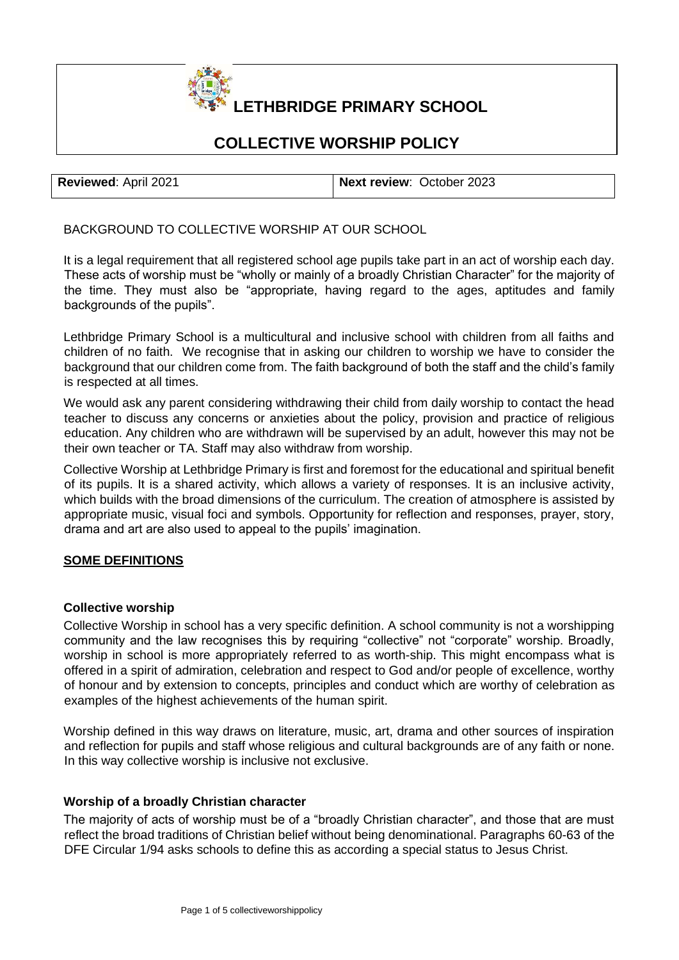# **LETHBRIDGE PRIMARY SCHOOL**

# **COLLECTIVE WORSHIP POLICY**

| Reviewed: April 2021 | Next review: October 2023 |
|----------------------|---------------------------|

BACKGROUND TO COLLECTIVE WORSHIP AT OUR SCHOOL

It is a legal requirement that all registered school age pupils take part in an act of worship each day. These acts of worship must be "wholly or mainly of a broadly Christian Character" for the majority of the time. They must also be "appropriate, having regard to the ages, aptitudes and family backgrounds of the pupils".

Lethbridge Primary School is a multicultural and inclusive school with children from all faiths and children of no faith. We recognise that in asking our children to worship we have to consider the background that our children come from. The faith background of both the staff and the child's family is respected at all times.

We would ask any parent considering withdrawing their child from daily worship to contact the head teacher to discuss any concerns or anxieties about the policy, provision and practice of religious education. Any children who are withdrawn will be supervised by an adult, however this may not be their own teacher or TA. Staff may also withdraw from worship.

Collective Worship at Lethbridge Primary is first and foremost for the educational and spiritual benefit of its pupils. It is a shared activity, which allows a variety of responses. It is an inclusive activity, which builds with the broad dimensions of the curriculum. The creation of atmosphere is assisted by appropriate music, visual foci and symbols. Opportunity for reflection and responses, prayer, story, drama and art are also used to appeal to the pupils' imagination.

# **SOME DEFINITIONS**

# **Collective worship**

Collective Worship in school has a very specific definition. A school community is not a worshipping community and the law recognises this by requiring "collective" not "corporate" worship. Broadly, worship in school is more appropriately referred to as worth-ship. This might encompass what is offered in a spirit of admiration, celebration and respect to God and/or people of excellence, worthy of honour and by extension to concepts, principles and conduct which are worthy of celebration as examples of the highest achievements of the human spirit.

Worship defined in this way draws on literature, music, art, drama and other sources of inspiration and reflection for pupils and staff whose religious and cultural backgrounds are of any faith or none. In this way collective worship is inclusive not exclusive.

# **Worship of a broadly Christian character**

The majority of acts of worship must be of a "broadly Christian character", and those that are must reflect the broad traditions of Christian belief without being denominational. Paragraphs 60-63 of the DFE Circular 1/94 asks schools to define this as according a special status to Jesus Christ.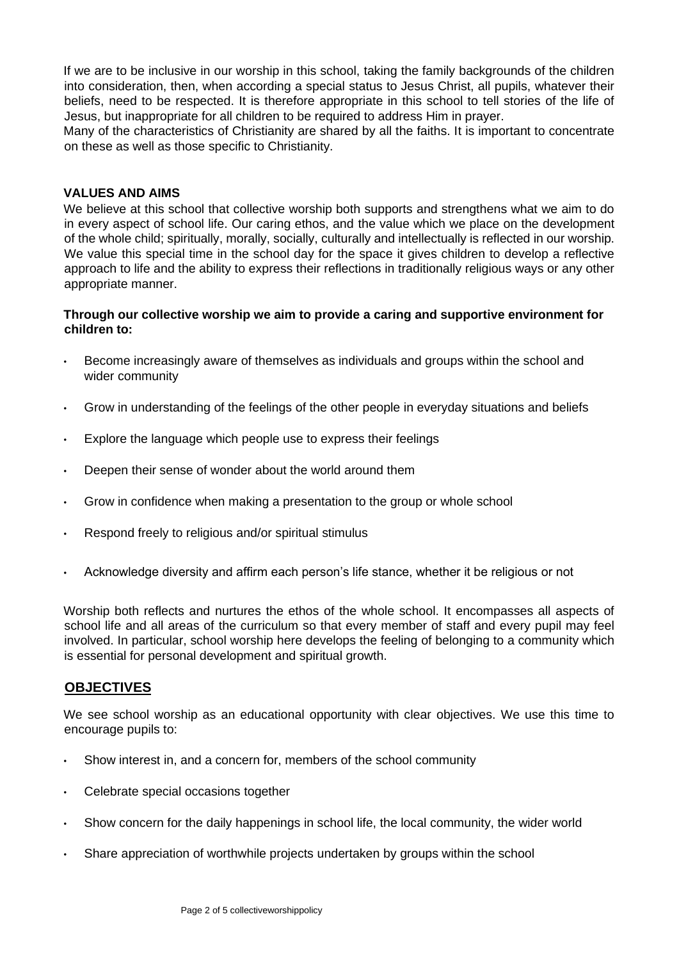If we are to be inclusive in our worship in this school, taking the family backgrounds of the children into consideration, then, when according a special status to Jesus Christ, all pupils, whatever their beliefs, need to be respected. It is therefore appropriate in this school to tell stories of the life of Jesus, but inappropriate for all children to be required to address Him in prayer.

Many of the characteristics of Christianity are shared by all the faiths. It is important to concentrate on these as well as those specific to Christianity.

#### **VALUES AND AIMS**

We believe at this school that collective worship both supports and strengthens what we aim to do in every aspect of school life. Our caring ethos, and the value which we place on the development of the whole child; spiritually, morally, socially, culturally and intellectually is reflected in our worship. We value this special time in the school day for the space it gives children to develop a reflective approach to life and the ability to express their reflections in traditionally religious ways or any other appropriate manner.

#### **Through our collective worship we aim to provide a caring and supportive environment for children to:**

- Become increasingly aware of themselves as individuals and groups within the school and wider community
- Grow in understanding of the feelings of the other people in everyday situations and beliefs
- Explore the language which people use to express their feelings
- Deepen their sense of wonder about the world around them
- Grow in confidence when making a presentation to the group or whole school
- Respond freely to religious and/or spiritual stimulus
- Acknowledge diversity and affirm each person's life stance, whether it be religious or not

Worship both reflects and nurtures the ethos of the whole school. It encompasses all aspects of school life and all areas of the curriculum so that every member of staff and every pupil may feel involved. In particular, school worship here develops the feeling of belonging to a community which is essential for personal development and spiritual growth.

# **OBJECTIVES**

We see school worship as an educational opportunity with clear objectives. We use this time to encourage pupils to:

- Show interest in, and a concern for, members of the school community
- Celebrate special occasions together
- Show concern for the daily happenings in school life, the local community, the wider world
- Share appreciation of worthwhile projects undertaken by groups within the school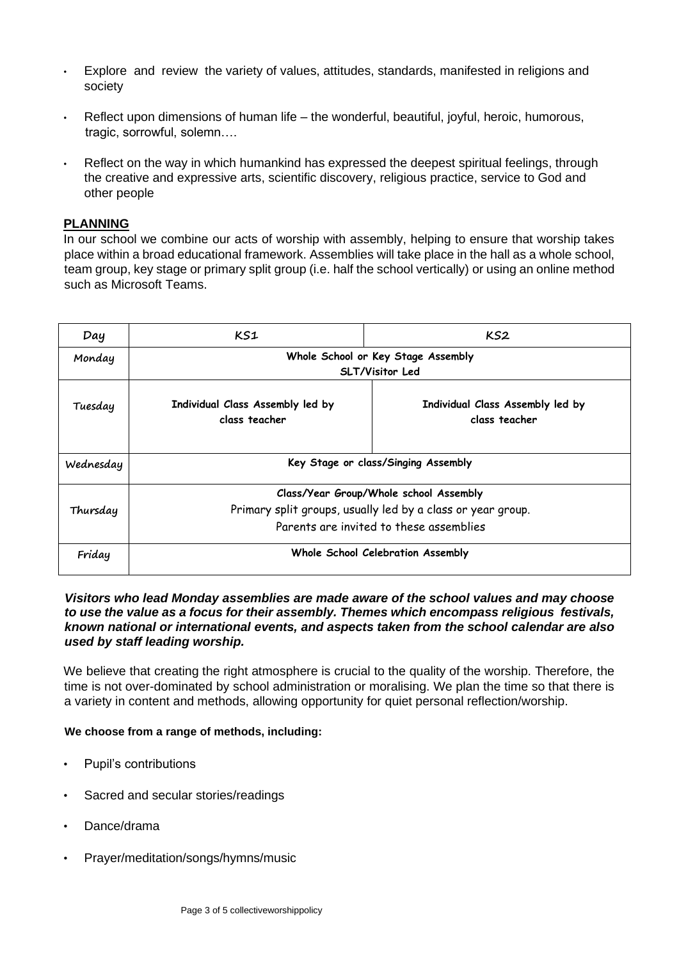- Explore and review the variety of values, attitudes, standards, manifested in religions and society
- Reflect upon dimensions of human life the wonderful, beautiful, joyful, heroic, humorous, tragic, sorrowful, solemn….
- Reflect on the way in which humankind has expressed the deepest spiritual feelings, through the creative and expressive arts, scientific discovery, religious practice, service to God and other people

# **PLANNING**

In our school we combine our acts of worship with assembly, helping to ensure that worship takes place within a broad educational framework. Assemblies will take place in the hall as a whole school, team group, key stage or primary split group (i.e. half the school vertically) or using an online method such as Microsoft Teams.

| Day       | KS1                                                         | KS2                                               |  |
|-----------|-------------------------------------------------------------|---------------------------------------------------|--|
| Monday    |                                                             | Whole School or Key Stage Assembly                |  |
|           | <b>SLT/Visitor Led</b>                                      |                                                   |  |
| Tuesday   | Individual Class Assembly led by<br>class teacher           | Individual Class Assembly led by<br>class teacher |  |
| Wednesday |                                                             | Key Stage or class/Singing Assembly               |  |
|           | Class/Year Group/Whole school Assembly                      |                                                   |  |
| Thursday  | Primary split groups, usually led by a class or year group. |                                                   |  |
|           | Parents are invited to these assemblies                     |                                                   |  |
| Friday    | Whole School Celebration Assembly                           |                                                   |  |

#### *Visitors who lead Monday assemblies are made aware of the school values and may choose to use the value as a focus for their assembly. Themes which encompass religious festivals, known national or international events, and aspects taken from the school calendar are also used by staff leading worship.*

We believe that creating the right atmosphere is crucial to the quality of the worship. Therefore, the time is not over-dominated by school administration or moralising. We plan the time so that there is a variety in content and methods, allowing opportunity for quiet personal reflection/worship.

#### **We choose from a range of methods, including:**

- Pupil's contributions
- Sacred and secular stories/readings
- Dance/drama
- Prayer/meditation/songs/hymns/music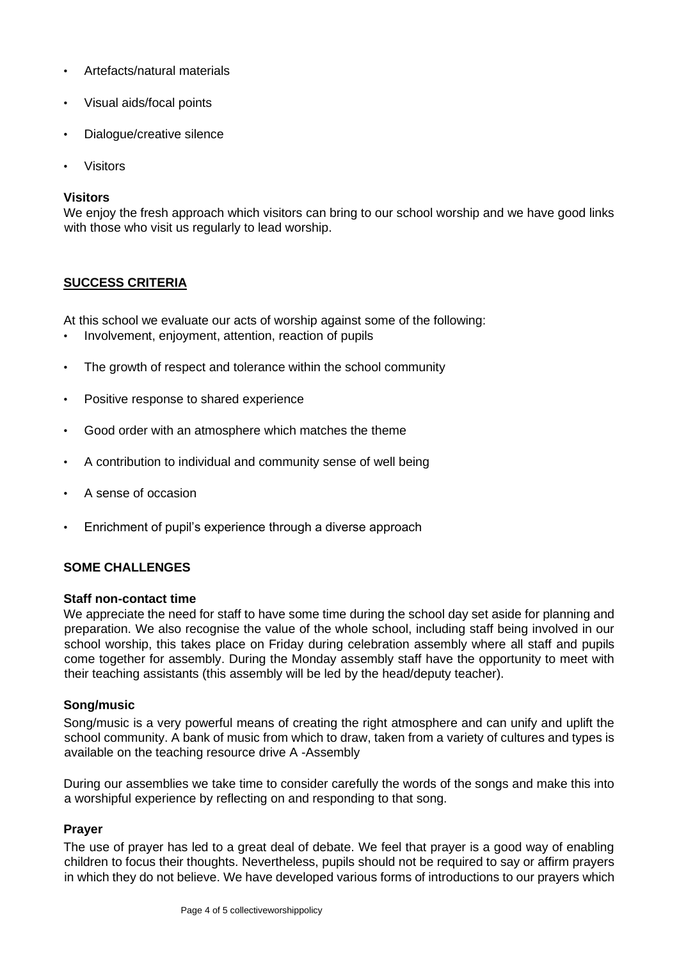- Artefacts/natural materials
- Visual aids/focal points
- Dialogue/creative silence
- **Visitors**

# **Visitors**

We enjoy the fresh approach which visitors can bring to our school worship and we have good links with those who visit us regularly to lead worship.

# **SUCCESS CRITERIA**

At this school we evaluate our acts of worship against some of the following:

- Involvement, enjoyment, attention, reaction of pupils
- The growth of respect and tolerance within the school community
- Positive response to shared experience
- Good order with an atmosphere which matches the theme
- A contribution to individual and community sense of well being
- A sense of occasion
- Enrichment of pupil's experience through a diverse approach

# **SOME CHALLENGES**

#### **Staff non-contact time**

We appreciate the need for staff to have some time during the school day set aside for planning and preparation. We also recognise the value of the whole school, including staff being involved in our school worship, this takes place on Friday during celebration assembly where all staff and pupils come together for assembly. During the Monday assembly staff have the opportunity to meet with their teaching assistants (this assembly will be led by the head/deputy teacher).

# **Song/music**

Song/music is a very powerful means of creating the right atmosphere and can unify and uplift the school community. A bank of music from which to draw, taken from a variety of cultures and types is available on the teaching resource drive A -Assembly

During our assemblies we take time to consider carefully the words of the songs and make this into a worshipful experience by reflecting on and responding to that song.

# **Prayer**

The use of prayer has led to a great deal of debate. We feel that prayer is a good way of enabling children to focus their thoughts. Nevertheless, pupils should not be required to say or affirm prayers in which they do not believe. We have developed various forms of introductions to our prayers which